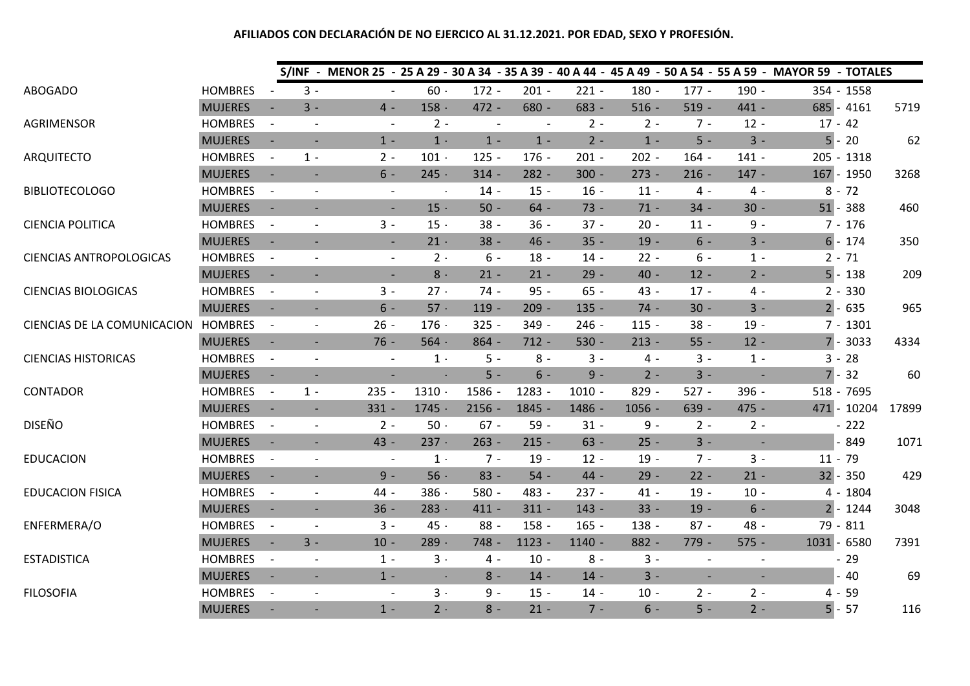|                                |                |                          |                          |                          |                |                          |          |          |          |                          |                          | S/INF - MENOR 25 - 25 A 29 - 30 A 34 - 35 A 39 - 40 A 44 - 45 A 49 - 50 A 54 - 55 A 59 - MAYOR 59 - TOTALES |              |       |
|--------------------------------|----------------|--------------------------|--------------------------|--------------------------|----------------|--------------------------|----------|----------|----------|--------------------------|--------------------------|-------------------------------------------------------------------------------------------------------------|--------------|-------|
| ABOGADO                        | <b>HOMBRES</b> |                          | $3 -$                    |                          | $60 -$         | $172 -$                  | $201 -$  | $221 -$  | $180 -$  | $177 -$                  | $190 -$                  |                                                                                                             | 354 - 1558   |       |
|                                | <b>MUJERES</b> |                          | $3 -$                    | $4 -$                    | $158 -$        | 472 -                    | $680 -$  | 683 -    | $516 -$  | $519 -$                  | 441 -                    |                                                                                                             | $685 - 4161$ | 5719  |
| AGRIMENSOR                     | <b>HOMBRES</b> | $\overline{\phantom{a}}$ | $\overline{\phantom{a}}$ | $\overline{\phantom{a}}$ | $2 -$          | $\overline{\phantom{a}}$ |          | $2 -$    | $2 -$    | $7 -$                    | $12 -$                   | $17 - 42$                                                                                                   |              |       |
|                                | <b>MUJERES</b> | $\sim$                   | $\overline{\phantom{a}}$ | $1 -$                    | $1 -$          | $1 -$                    | $1 -$    | $2 -$    | $1 -$    | $5 -$                    | $3 -$                    |                                                                                                             | $5 - 20$     | 62    |
| <b>ARQUITECTO</b>              | <b>HOMBRES</b> |                          | $1 -$                    | $2 -$                    | $101 -$        | $125 -$                  | $176 -$  | $201 -$  | $202 -$  | $164 -$                  | $141 -$                  |                                                                                                             | 205 - 1318   |       |
|                                | <b>MUJERES</b> |                          | $\overline{\phantom{a}}$ | $6 -$                    | $245 -$        | $314 -$                  | $282 -$  | $300 -$  | $273 -$  | $216 -$                  | $147 -$                  |                                                                                                             | 167 - 1950   | 3268  |
| <b>BIBLIOTECOLOGO</b>          | <b>HOMBRES</b> | $\overline{\phantom{a}}$ | $\overline{\phantom{a}}$ | $\overline{\phantom{a}}$ | $\blacksquare$ | $14 -$                   | $15 -$   | $16 -$   | $11 -$   | $4 -$                    | 4 -                      |                                                                                                             | $8 - 72$     |       |
|                                | <b>MUJERES</b> | $\overline{\phantom{a}}$ | $\overline{\phantom{a}}$ | $\blacksquare$           | $15 -$         | $50 -$                   | $64 -$   | $73 -$   | $71 -$   | $34 -$                   | $30 -$                   |                                                                                                             | $51 - 388$   | 460   |
| <b>CIENCIA POLITICA</b>        | <b>HOMBRES</b> | $\overline{\phantom{a}}$ | $\overline{\phantom{a}}$ | $3 -$                    | $15 -$         | $38 -$                   | $36 -$   | $37 -$   | $20 -$   | $11 -$                   | $9 -$                    |                                                                                                             | $7 - 176$    |       |
|                                | <b>MUJERES</b> | $\overline{\phantom{a}}$ | $\blacksquare$           | $\blacksquare$           | $21 -$         | $38 -$                   | $46 -$   | $35 -$   | $19 -$   | $6 -$                    | $3 -$                    |                                                                                                             | $6 - 174$    | 350   |
| <b>CIENCIAS ANTROPOLOGICAS</b> | <b>HOMBRES</b> | $\overline{\phantom{a}}$ | $\overline{\phantom{a}}$ | $\overline{\phantom{a}}$ | $2 -$          | $6 -$                    | $18 -$   | $14 -$   | $22 -$   | $6 -$                    | $1 -$                    |                                                                                                             | $2 - 71$     |       |
|                                | <b>MUJERES</b> | $\overline{\phantom{a}}$ |                          | $\blacksquare$           | $8\,$ -        | $21 -$                   | $21 -$   | $29 -$   | $40 -$   | $12 -$                   | $2 -$                    |                                                                                                             | $5 - 138$    | 209   |
| <b>CIENCIAS BIOLOGICAS</b>     | <b>HOMBRES</b> | $\overline{\phantom{a}}$ |                          | $3 -$                    | $27 -$         | $74 -$                   | $95 -$   | $65 -$   | 43 -     | $17 -$                   | 4 -                      |                                                                                                             | $2 - 330$    |       |
|                                | <b>MUJERES</b> |                          | $\overline{\phantom{a}}$ | $6 -$                    | $57 -$         | $119 -$                  | $209 -$  | $135 -$  | $74 -$   | $30 -$                   | $3 -$                    |                                                                                                             | $2 - 635$    | 965   |
| CIENCIAS DE LA COMUNICACION    | <b>HOMBRES</b> |                          | $\overline{\phantom{a}}$ | $26 -$                   | $176 -$        | $325 -$                  | $349 -$  | $246 -$  | $115 -$  | $38 -$                   | $19 -$                   |                                                                                                             | $7 - 1301$   |       |
|                                | <b>MUJERES</b> | $\blacksquare$           | $\overline{\phantom{a}}$ | $76 -$                   | $564 -$        | $864 -$                  | $712 -$  | $530 -$  | $213 -$  | $55 -$                   | $12 -$                   |                                                                                                             | $7 - 3033$   | 4334  |
| <b>CIENCIAS HISTORICAS</b>     | <b>HOMBRES</b> | $\overline{\phantom{a}}$ | $\overline{\phantom{a}}$ |                          | $1 -$          | $5 -$                    | $8 -$    | $3 -$    | $4 -$    | $3 -$                    | $1 -$                    |                                                                                                             | $3 - 28$     |       |
|                                | <b>MUJERES</b> | $\overline{\phantom{a}}$ | $\overline{\phantom{a}}$ | $\overline{\phantom{a}}$ | $\blacksquare$ | $5 -$                    | $6 -$    | $9 -$    | $2 -$    | $3 -$                    |                          |                                                                                                             | $7 - 32$     | 60    |
| <b>CONTADOR</b>                | <b>HOMBRES</b> | $\overline{\phantom{a}}$ | $1 -$                    | $235 -$                  | $1310 -$       | 1586 -                   | 1283 -   | $1010 -$ | $829 -$  | $527 -$                  | 396 -                    |                                                                                                             | 518 - 7695   |       |
|                                | <b>MUJERES</b> | $\overline{\phantom{a}}$ | $\sim$                   | $331 -$                  | $1745 -$       | $2156 -$                 | 1845 -   | 1486 -   | $1056 -$ | $639 -$                  | $475 -$                  |                                                                                                             | 471 - 10204  | 17899 |
| <b>DISEÑO</b>                  | <b>HOMBRES</b> | $\overline{\phantom{a}}$ | $\overline{\phantom{a}}$ | $2 -$                    | $50$ $\cdot$   | $67 -$                   | $59 -$   | $31 -$   | $9 -$    | $2 -$                    | $2 -$                    |                                                                                                             | $-222$       |       |
|                                | <b>MUJERES</b> |                          | $\blacksquare$           | 43 -                     | $237 -$        | $263 -$                  | $215 -$  | $63 -$   | $25 -$   | $3 -$                    |                          |                                                                                                             | 849          | 1071  |
| <b>EDUCACION</b>               | <b>HOMBRES</b> | $\overline{\phantom{a}}$ | $\overline{\phantom{a}}$ |                          | $1 -$          | $7 -$                    | $19 -$   | $12 -$   | $19 -$   | $7 -$                    | $3 -$                    | $11 - 79$                                                                                                   |              |       |
|                                | <b>MUJERES</b> |                          | ÷.                       | $9 -$                    | $56 -$         | $83 -$                   | $54 -$   | 44 -     | $29 -$   | $22 -$                   | $21 -$                   |                                                                                                             | $32 - 350$   | 429   |
| <b>EDUCACION FISICA</b>        | <b>HOMBRES</b> | $\overline{\phantom{a}}$ | $\overline{\phantom{a}}$ | 44 -                     | $386 -$        | $580 -$                  | 483 -    | $237 -$  | $41 -$   | $19 -$                   | $10 -$                   |                                                                                                             | 4 - 1804     |       |
|                                | <b>MUJERES</b> |                          | $\overline{\phantom{a}}$ | $36 -$                   | $283 -$        | $411 -$                  | $311 -$  | $143 -$  | $33 -$   | $19 -$                   | $6 -$                    |                                                                                                             | $2 - 1244$   | 3048  |
| ENFERMERA/O                    | <b>HOMBRES</b> | $\blacksquare$           | $\sim$                   | $3 -$                    | 45 -           | $88 -$                   | $158 -$  | $165 -$  | 138 -    | $87 -$                   | 48 -                     |                                                                                                             | 79 - 811     |       |
|                                | <b>MUJERES</b> | $\sim$                   | $3 -$                    | $10 -$                   | $289 -$        | $748 -$                  | $1123 -$ | $1140 -$ | $882 -$  | 779 -                    | $575 -$                  | 1031 - 6580                                                                                                 |              | 7391  |
| <b>ESTADISTICA</b>             | <b>HOMBRES</b> | $\overline{\phantom{a}}$ | $\overline{\phantom{a}}$ | $1 -$                    | $3 -$          | $4 -$                    | $10 -$   | $8 -$    | $3 -$    | $\overline{a}$           |                          |                                                                                                             | $-29$        |       |
|                                | <b>MUJERES</b> |                          | $\blacksquare$           | $1 -$                    | $\sim$         | $8 -$                    | $14 -$   | $14 -$   | $3 -$    | $\overline{\phantom{a}}$ | $\overline{\phantom{a}}$ |                                                                                                             | 40           | 69    |
| <b>FILOSOFIA</b>               | <b>HOMBRES</b> |                          | $\sim$                   | $\overline{\phantom{a}}$ | $3 -$          | $9 -$                    | $15 -$   | $14 -$   | $10 -$   | $2 -$                    | $2 -$                    |                                                                                                             | $4 - 59$     |       |
|                                | <b>MUJERES</b> |                          |                          | $1 -$                    | $2 -$          | $8 -$                    | $21 -$   | $7 -$    | $6 -$    | $5 -$                    | $2 -$                    |                                                                                                             | $5 - 57$     | 116   |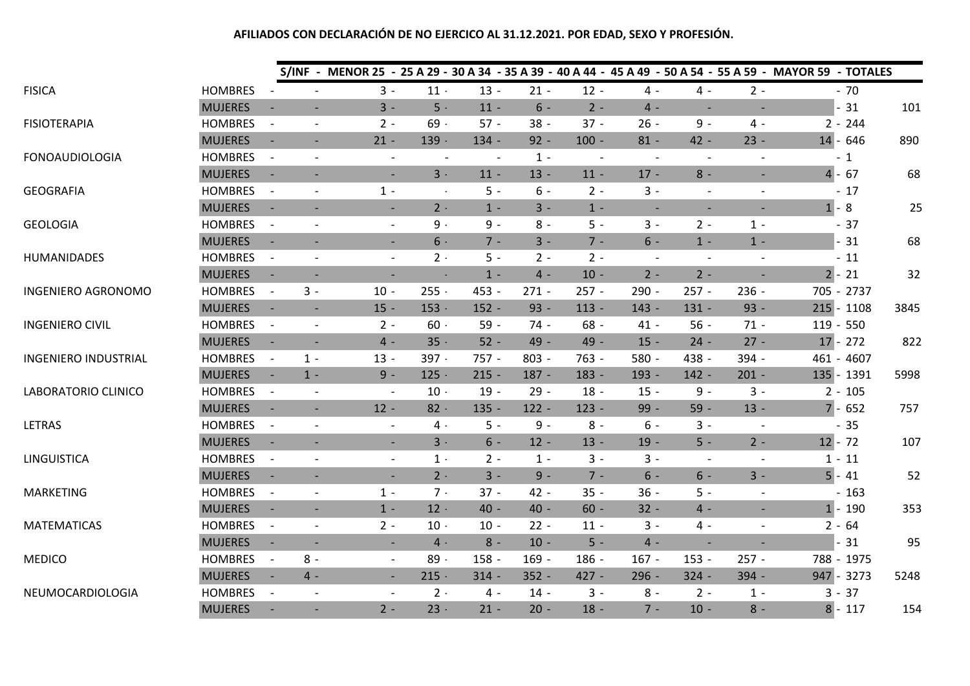|                             |                |                          |                          | S/INF - MENOR 25 - 25 A 29 - 30 A 34 - 35 A 39 - 40 A 44 - 45 A 49 - 50 A 54 - 55 A 59 - MAYOR 59 - TOTALES |         |                                      |                                   |                          |                          |                          |                                                      |              |      |
|-----------------------------|----------------|--------------------------|--------------------------|-------------------------------------------------------------------------------------------------------------|---------|--------------------------------------|-----------------------------------|--------------------------|--------------------------|--------------------------|------------------------------------------------------|--------------|------|
| <b>FISICA</b>               | <b>HOMBRES</b> |                          |                          | $3 -$                                                                                                       | $11 -$  | $13 -$                               | $21 -$                            | $12 -$                   | $4 -$                    | $4 -$                    | $2 -$                                                | $-70$        |      |
|                             | <b>MUJERES</b> |                          | $\overline{\phantom{a}}$ | $3 -$                                                                                                       | $5 -$   | $11 -$                               | $6 -$                             | $2 -$                    | $4 -$                    |                          | $\overline{\phantom{a}}$<br>$\overline{\phantom{a}}$ | $-31$        | 101  |
| <b>FISIOTERAPIA</b>         | <b>HOMBRES</b> | $\overline{a}$           | $\overline{\phantom{a}}$ | $2 -$                                                                                                       | $69 -$  | $57 -$                               | $38 -$                            | $37 -$                   | $26 -$                   | $9 -$                    | $4 -$                                                | $2 - 244$    |      |
|                             | <b>MUJERES</b> | $\overline{\phantom{a}}$ | $\overline{\phantom{a}}$ | $21 -$                                                                                                      | $139 -$ | $134 -$                              | $92 -$                            | $100 -$                  | $81 -$                   | $42 -$                   | $23 -$                                               | $14 - 646$   | 890  |
| <b>FONOAUDIOLOGIA</b>       | <b>HOMBRES</b> | $\overline{a}$           | $\overline{a}$           |                                                                                                             |         | $\overline{\phantom{a}}$             | $1 -$<br>$\overline{\phantom{a}}$ | $\overline{\phantom{a}}$ | $\overline{\phantom{a}}$ | $\overline{\phantom{a}}$ | $\overline{a}$                                       | $-1$         |      |
|                             | <b>MUJERES</b> |                          | $\overline{\phantom{a}}$ | $\blacksquare$                                                                                              | $3 -$   | $11 -$                               | $13 -$                            | $11 -$                   | $17 -$                   | $8 -$                    | $\overline{\phantom{a}}$                             | $4 - 67$     | 68   |
| <b>GEOGRAFIA</b>            | <b>HOMBRES</b> | $\overline{\phantom{a}}$ | $\overline{\phantom{a}}$ | $1 -$                                                                                                       | $\sim$  | $5 -$                                | $6 -$                             | $2 -$                    | $3 -$                    |                          | $\blacksquare$<br>$\overline{a}$                     | $-17$        |      |
|                             | <b>MUJERES</b> |                          | $\overline{\phantom{a}}$ | $\blacksquare$                                                                                              | $2 -$   | $1 -$                                | $3 -$                             | $1 -$                    | $\sim$                   |                          | $\overline{\phantom{a}}$<br>$\overline{\phantom{a}}$ | $1 - 8$      | 25   |
| <b>GEOLOGIA</b>             | <b>HOMBRES</b> | $\overline{\phantom{a}}$ | $\overline{a}$           | $\overline{\phantom{a}}$                                                                                    | $9 -$   | $9 -$                                | $8 -$                             | $5 -$                    | $3 -$                    | $2 -$                    | $1 -$                                                | $-37$        |      |
|                             | <b>MUJERES</b> |                          | $\blacksquare$           | $\blacksquare$                                                                                              | $6 -$   | $7 -$                                | $3 -$                             | $7 -$                    | $6 -$                    | $1 -$                    | $1 -$                                                | $-31$        | 68   |
| HUMANIDADES                 | <b>HOMBRES</b> | $\overline{\phantom{a}}$ | $\overline{\phantom{a}}$ | $\overline{\phantom{a}}$                                                                                    | $2 -$   | $5 -$                                | $2 -$                             | $2 -$                    |                          | $\overline{\phantom{a}}$ | $\overline{a}$<br>$\overline{\phantom{a}}$           | $-11$        |      |
|                             | <b>MUJERES</b> |                          |                          |                                                                                                             |         | $1 -$<br>$\mathcal{L}_{\mathcal{A}}$ | $4 -$                             | $10 -$                   | $2 -$                    | $2 -$                    |                                                      | $2 - 21$     | 32   |
| <b>INGENIERO AGRONOMO</b>   | <b>HOMBRES</b> |                          | $3 -$                    | $10 -$                                                                                                      | $255 -$ | 453 -                                | $271 -$                           | $257 -$                  | $290 -$                  | $257 -$                  | $236 -$                                              | 705 - 2737   |      |
|                             | <b>MUJERES</b> |                          | $\blacksquare$           | $15 -$                                                                                                      | $153 -$ | $152 -$                              | $93 -$                            | $113 -$                  | $143 -$                  | $131 -$                  | $93 -$                                               | $215 - 1108$ | 3845 |
| <b>INGENIERO CIVIL</b>      | <b>HOMBRES</b> |                          | $\overline{\phantom{a}}$ | $2 -$                                                                                                       | $60 -$  | $59 -$                               | $74 -$                            | $68 -$                   | $41 -$                   | $56 -$                   | $71 -$                                               | $119 - 550$  |      |
|                             | <b>MUJERES</b> |                          | $\overline{\phantom{a}}$ | $4 -$                                                                                                       | $35 -$  | $52 -$                               | 49 -                              | 49 -                     | $15 -$                   | $24 -$                   | $27 -$                                               | $17 - 272$   | 822  |
| <b>INGENIERO INDUSTRIAL</b> | <b>HOMBRES</b> |                          | $1 -$                    | $13 -$                                                                                                      | 397 -   | $757 -$                              | $803 -$                           | $763 -$                  | $580 -$                  | 438 -                    | 394 -                                                | 461 - 4607   |      |
|                             | <b>MUJERES</b> |                          | $1 -$                    | $9 -$                                                                                                       | $125 -$ | $215 -$                              | $187 -$                           | $183 -$                  | 193 -                    | $142 -$                  | $201 -$                                              | 135 - 1391   | 5998 |
| LABORATORIO CLINICO         | <b>HOMBRES</b> | $\blacksquare$           | $\overline{\phantom{a}}$ |                                                                                                             | $10 -$  | $19 -$                               | $29 -$                            | $18 -$                   | $15 -$                   | $9 -$                    | $3 -$                                                | $2 - 105$    |      |
|                             | <b>MUJERES</b> |                          | $\overline{\phantom{0}}$ | $12 -$                                                                                                      | $82 -$  | $135 -$                              | $122 -$                           | $123 -$                  | 99 -                     | $59 -$                   | $13 -$                                               | $7 - 652$    | 757  |
| LETRAS                      | <b>HOMBRES</b> |                          | $\overline{\phantom{a}}$ | $\overline{\phantom{a}}$                                                                                    | 4 -     | $5 -$                                | $9 -$                             | $8 -$                    | $6 -$                    | $3 -$                    | $\blacksquare$                                       | $-35$        |      |
|                             | <b>MUJERES</b> |                          | $\overline{\phantom{a}}$ | $\blacksquare$                                                                                              | $3 -$   | $6 -$                                | $12 -$                            | $13 -$                   | $19 -$                   | $5 -$                    | $2 -$                                                | $12 - 72$    | 107  |
| <b>LINGUISTICA</b>          | <b>HOMBRES</b> | $\overline{\phantom{a}}$ | $\overline{\phantom{a}}$ | $\overline{\phantom{a}}$                                                                                    | $1 -$   | $2 -$                                | $1 -$                             | $3 -$                    | $3 -$                    |                          | $\overline{\phantom{a}}$<br>$\overline{\phantom{a}}$ | $1 - 11$     |      |
|                             | <b>MUJERES</b> |                          |                          |                                                                                                             | $2 -$   | $3 -$                                | $9 -$                             | $7 -$                    | $6 -$                    | $6 -$                    | $3 -$                                                | $5 - 41$     | 52   |
| <b>MARKETING</b>            | <b>HOMBRES</b> | $\overline{\phantom{a}}$ | $\overline{\phantom{a}}$ | $1 -$                                                                                                       | $7 -$   | $37 -$                               | $42 -$                            | $35 -$                   | $36 -$                   | $5 -$                    | $\qquad \qquad -$                                    | $-163$       |      |
|                             | <b>MUJERES</b> | $\sim$                   | $\overline{\phantom{a}}$ | $1 -$                                                                                                       | $12 -$  | $40 -$                               | 40 -                              | $60 -$                   | $32 -$                   | $4 -$                    | $\overline{\phantom{a}}$                             | $1 - 190$    | 353  |
| <b>MATEMATICAS</b>          | <b>HOMBRES</b> | $\overline{\phantom{a}}$ | $\frac{1}{2}$            | $2 -$                                                                                                       | $10 -$  | $10 -$                               | $22 -$                            | $11 -$                   | $3 -$                    | 4 -                      | $\overline{\phantom{a}}$                             | $2 - 64$     |      |
|                             | <b>MUJERES</b> |                          | $\overline{\phantom{a}}$ | $\overline{\phantom{a}}$                                                                                    | $4$ -   | $8 -$                                | $10 -$                            | $5 -$                    | $4 -$                    |                          |                                                      | $-31$        | 95   |
| <b>MEDICO</b>               | <b>HOMBRES</b> |                          | $8 -$                    | $\overline{\phantom{a}}$                                                                                    | $89 -$  | $158 -$                              | $169 -$                           | $186 -$                  | $167 -$                  | $153 -$                  | $257 -$                                              | 788 - 1975   |      |
|                             | <b>MUJERES</b> |                          | $4 -$                    | $\overline{\phantom{a}}$                                                                                    | $215 -$ | $314 -$                              | $352 -$                           | $427 -$                  | $296 -$                  | $324 -$                  | $394 -$                                              | 947 - 3273   | 5248 |
| NEUMOCARDIOLOGIA            | <b>HOMBRES</b> | $\overline{\phantom{a}}$ | $\overline{\phantom{a}}$ | $\overline{\phantom{a}}$                                                                                    | $2 -$   | $4 -$                                | $14 -$                            | $3 -$                    | $8 -$                    | $2 -$                    | $1 -$                                                | $3 - 37$     |      |
|                             | <b>MUJERES</b> |                          |                          | $2 -$                                                                                                       | $23 -$  | $21 -$                               | $20 -$                            | $18 -$                   | $7 -$                    | $10 -$                   | $8 -$                                                | $8 - 117$    | 154  |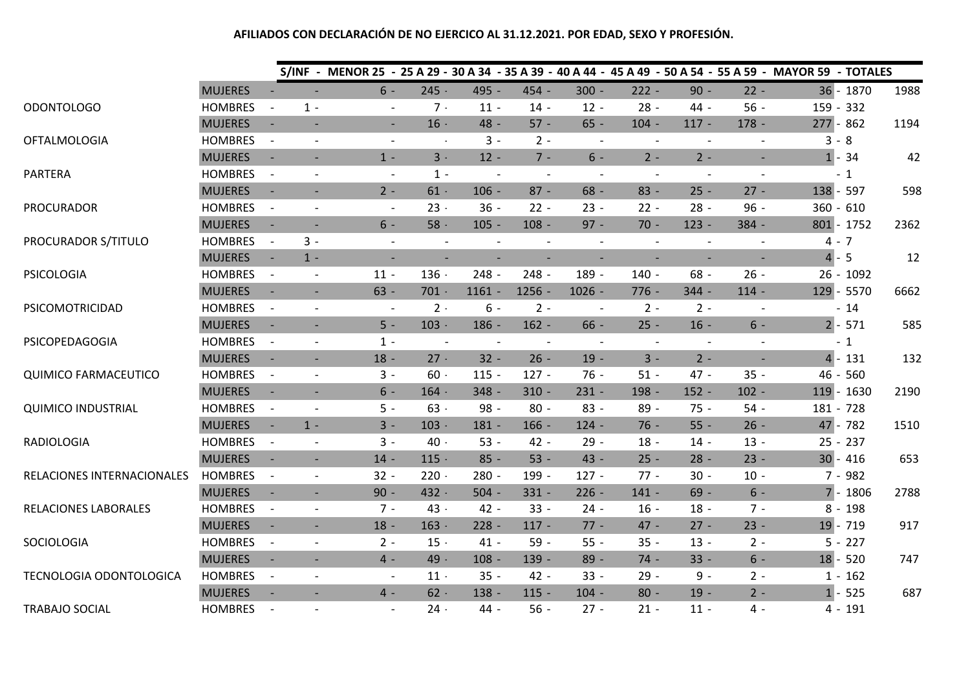|                             |                |                          |                          |                          |                          |                          |                          |                          |         |                                                      |                          | S/INF - MENOR 25 - 25 A 29 - 30 A 34 - 35 A 39 - 40 A 44 - 45 A 49 - 50 A 54 - 55 A 59 - MAYOR 59 - TOTALES |              |      |
|-----------------------------|----------------|--------------------------|--------------------------|--------------------------|--------------------------|--------------------------|--------------------------|--------------------------|---------|------------------------------------------------------|--------------------------|-------------------------------------------------------------------------------------------------------------|--------------|------|
|                             | <b>MUJERES</b> |                          |                          | $6 -$                    | $245 -$                  | 495 -                    | 454 -                    | $300 -$                  | $222 -$ | $90 -$                                               | $22 -$                   |                                                                                                             | 36 - 1870    | 1988 |
| <b>ODONTOLOGO</b>           | <b>HOMBRES</b> |                          | $1 -$                    | $\overline{\phantom{a}}$ | $7 -$                    | $11 -$                   | $14 -$                   | $12 -$                   | $28 -$  | 44 -                                                 | $56 -$                   | 159 - 332                                                                                                   |              |      |
|                             | <b>MUJERES</b> | $\overline{\phantom{a}}$ | $\overline{\phantom{a}}$ | $\blacksquare$           | $16 -$                   | 48 -                     | $57 -$                   | $65 -$                   | $104 -$ | $117 -$                                              | $178 -$                  | $277 - 862$                                                                                                 |              | 1194 |
| <b>OFTALMOLOGIA</b>         | <b>HOMBRES</b> | $\overline{\phantom{a}}$ |                          | $\overline{\phantom{a}}$ | $\blacksquare$           | $3 -$                    | $2 -$                    | $\overline{\phantom{a}}$ |         | $\overline{\phantom{a}}$<br>$\overline{\phantom{a}}$ |                          | $3 - 8$                                                                                                     |              |      |
|                             | <b>MUJERES</b> |                          |                          | $1 -$                    | $3 -$                    | $12 -$                   | $7 -$                    | $6 -$                    | $2 -$   | $2 -$                                                |                          |                                                                                                             | $1 - 34$     | 42   |
| <b>PARTERA</b>              | <b>HOMBRES</b> | $\overline{\phantom{a}}$ | $\overline{\phantom{a}}$ | $\overline{\phantom{a}}$ | $1 -$                    | $\overline{\phantom{a}}$ |                          |                          |         | $\overline{\phantom{a}}$                             |                          |                                                                                                             | $-1$         |      |
|                             | <b>MUJERES</b> | $\overline{\phantom{a}}$ | $\overline{\phantom{a}}$ | $2 -$                    | $61 -$                   | $106 -$                  | $87 -$                   | $68 -$                   | $83 -$  | $25 -$                                               | $27 -$                   | 138 - 597                                                                                                   |              | 598  |
| <b>PROCURADOR</b>           | <b>HOMBRES</b> | $\overline{\phantom{a}}$ | $\blacksquare$           | $\overline{\phantom{a}}$ | $23 -$                   | $36 -$                   | $22 -$                   | $23 -$                   | $22 -$  | $28 -$                                               | $96 -$                   | $360 - 610$                                                                                                 |              |      |
|                             | <b>MUJERES</b> |                          | $\sim$                   | $6 -$                    | $58 -$                   | $105 -$                  | $108 -$                  | $97 -$                   | $70 -$  | $123 -$                                              | 384 -                    |                                                                                                             | $801 - 1752$ | 2362 |
| PROCURADOR S/TITULO         | <b>HOMBRES</b> | $\overline{\phantom{a}}$ | $3 -$                    | $\overline{\phantom{a}}$ | $\overline{\phantom{a}}$ |                          |                          | $\overline{\phantom{a}}$ |         |                                                      |                          | $4 - 7$                                                                                                     |              |      |
|                             | <b>MUJERES</b> | $\sim$                   | $1 -$                    | $\overline{\phantom{a}}$ | $\overline{\phantom{a}}$ | $\overline{\phantom{a}}$ | $\overline{\phantom{a}}$ | $\overline{\phantom{a}}$ |         | $\overline{\phantom{a}}$                             | $\overline{\phantom{a}}$ | $4 - 5$                                                                                                     |              | 12   |
| <b>PSICOLOGIA</b>           | <b>HOMBRES</b> | $\overline{\phantom{a}}$ | $\overline{\phantom{a}}$ | $11 -$                   | $136 -$                  | $248 -$                  | $248 -$                  | 189 -                    | $140 -$ | $68 -$                                               | $26 -$                   |                                                                                                             | $26 - 1092$  |      |
|                             | <b>MUJERES</b> | $\overline{\phantom{a}}$ | $\overline{\phantom{a}}$ | $63 -$                   | $701 -$                  | $1161 -$                 | $1256 -$                 | $1026 -$                 | $776 -$ | $344 -$                                              | $114 -$                  |                                                                                                             | $129 - 5570$ | 6662 |
| PSICOMOTRICIDAD             | <b>HOMBRES</b> | $\overline{\phantom{a}}$ | $\overline{\phantom{a}}$ | $\overline{\phantom{a}}$ | $2 -$                    | $6 -$                    | $2 -$                    | $\overline{\phantom{a}}$ | $2 -$   | $2 -$                                                |                          |                                                                                                             | $-14$        |      |
|                             | <b>MUJERES</b> | $\sim$                   | $\overline{\phantom{a}}$ | $5 -$                    | $103 -$                  | $186 -$                  | $162 -$                  | $66 -$                   | $25 -$  | $16 -$                                               | $6 -$                    |                                                                                                             | $2 - 571$    | 585  |
| PSICOPEDAGOGIA              | <b>HOMBRES</b> | $\overline{\phantom{a}}$ | $\overline{\phantom{a}}$ | $1 -$                    | $\overline{\phantom{a}}$ | $\overline{\phantom{a}}$ |                          |                          |         | $\overline{a}$<br>$\overline{\phantom{a}}$           |                          |                                                                                                             | $-1$         |      |
|                             | <b>MUJERES</b> | $\overline{\phantom{a}}$ | $\overline{\phantom{a}}$ | $18 -$                   | $27 -$                   | $32 -$                   | $26 -$                   | $19 -$                   | $3 -$   | $2 -$                                                | $\sim$                   |                                                                                                             | $4 - 131$    | 132  |
| <b>QUIMICO FARMACEUTICO</b> | <b>HOMBRES</b> | $\overline{\phantom{a}}$ | $\overline{\phantom{a}}$ | $3 -$                    | $60 -$                   | $115 -$                  | $127 -$                  | $76 -$                   | $51 -$  | $47 -$                                               | $35 -$                   |                                                                                                             | $46 - 560$   |      |
|                             | <b>MUJERES</b> | $\overline{\phantom{a}}$ | $\overline{\phantom{a}}$ | $6 -$                    | $164 -$                  | $348 -$                  | $310 -$                  | $231 -$                  | $198 -$ | $152 -$                                              | $102 -$                  |                                                                                                             | 119 - 1630   | 2190 |
| <b>QUIMICO INDUSTRIAL</b>   | <b>HOMBRES</b> | $\overline{\phantom{a}}$ | $\blacksquare$           | $5 -$                    | $63 -$                   | 98 -                     | $80 -$                   | $83 -$                   | $89 -$  | $75 -$                                               | $54 -$                   | 181 - 728                                                                                                   |              |      |
|                             | <b>MUJERES</b> | $\sim$                   | $1 -$                    | $3 -$                    | $103 -$                  | $181 -$                  | $166 -$                  | $124 -$                  | $76 -$  | $55 -$                                               | $26 -$                   |                                                                                                             | $47 - 782$   | 1510 |
| <b>RADIOLOGIA</b>           | <b>HOMBRES</b> | $\overline{\phantom{a}}$ | $\overline{\phantom{a}}$ | $3 -$                    | $40 -$                   | $53 -$                   | $42 -$                   | $29 -$                   | $18 -$  | $14 -$                                               | $13 -$                   |                                                                                                             | $25 - 237$   |      |
|                             | <b>MUJERES</b> |                          | $\overline{\phantom{a}}$ | $14 -$                   | $115 -$                  | $85 -$                   | $53 -$                   | 43 -                     | $25 -$  | $28 -$                                               | $23 -$                   |                                                                                                             | $30 - 416$   | 653  |
| RELACIONES INTERNACIONALES  | <b>HOMBRES</b> | $\overline{\phantom{a}}$ | $\overline{\phantom{a}}$ | $32 -$                   | $220 -$                  | $280 -$                  | 199 -                    | $127 -$                  | $77 -$  | $30 -$                                               | $10 -$                   |                                                                                                             | $7 - 982$    |      |
|                             | <b>MUJERES</b> | $\overline{\phantom{a}}$ | $\overline{\phantom{a}}$ | $90 -$                   | 432 -                    | $504 -$                  | $331 -$                  | $226 -$                  | $141 -$ | $69 -$                                               | $6 -$                    |                                                                                                             | $7 - 1806$   | 2788 |
| RELACIONES LABORALES        | <b>HOMBRES</b> | $\overline{\phantom{a}}$ | $\overline{\phantom{a}}$ | $7 -$                    | $43 -$                   | $42 -$                   | $33 -$                   | $24 -$                   | $16 -$  | $18 -$                                               | $7 -$                    |                                                                                                             | $8 - 198$    |      |
|                             | <b>MUJERES</b> | $\overline{\phantom{a}}$ | $\overline{\phantom{a}}$ | $18 -$                   | $163 -$                  | $228 -$                  | $117 -$                  | $77 -$                   | 47 -    | $27 -$                                               | $23 -$                   |                                                                                                             | $19 - 719$   | 917  |
| SOCIOLOGIA                  | <b>HOMBRES</b> | $\overline{\phantom{a}}$ | $\overline{\phantom{a}}$ | $2 -$                    | $15 -$                   | $41 -$                   | $59 -$                   | $55 -$                   | $35 -$  | $13 -$                                               | $2 -$                    |                                                                                                             | $5 - 227$    |      |
|                             | <b>MUJERES</b> |                          |                          | 4 -                      | 49 -                     | $108 -$                  | $139 -$                  | $89 -$                   | $74 -$  | $33 -$                                               | $6 -$                    |                                                                                                             | $18 - 520$   | 747  |
| TECNOLOGIA ODONTOLOGICA     | <b>HOMBRES</b> | $\overline{\phantom{a}}$ | $\overline{\phantom{a}}$ | $\overline{\phantom{a}}$ | $11 -$                   | $35 -$                   | $42 -$                   | $33 -$                   | $29 -$  | $9 -$                                                | $2 -$                    |                                                                                                             | $1 - 162$    |      |
|                             | <b>MUJERES</b> |                          | $\overline{\phantom{a}}$ | $4 -$                    | $62 -$                   | $138 -$                  | $115 -$                  | $104 -$                  | $80 -$  | $19 -$                                               | $2 -$                    | $1$ -                                                                                                       | 525          | 687  |
| <b>TRABAJO SOCIAL</b>       | <b>HOMBRES</b> |                          |                          |                          | $24 -$                   | 44 -                     | $56 -$                   | $27 -$                   | 21 -    | $11 -$                                               | 4 -                      |                                                                                                             | $4 - 191$    |      |